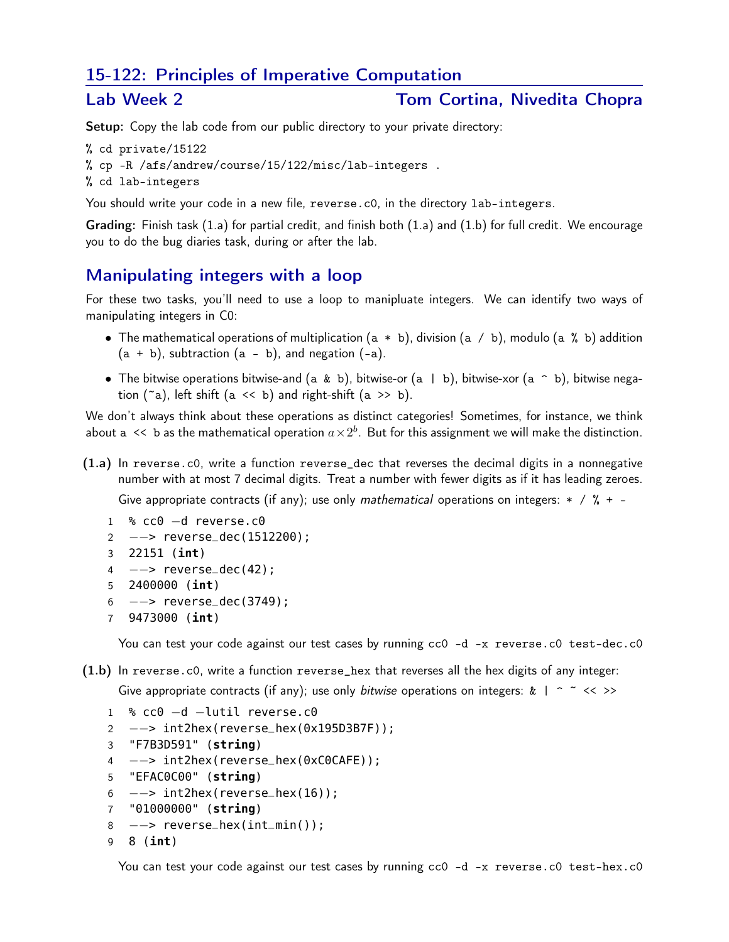## 15-122: Principles of Imperative Computation

### Lab Week 2 Tom Cortina, Nivedita Chopra

Setup: Copy the lab code from our public directory to your private directory:

```
% cd private/15122
% cp -R /afs/andrew/course/15/122/misc/lab-integers .
% cd lab-integers
```
You should write your code in a new file, reverse.c0, in the directory lab-integers.

Grading: Finish task (1.a) for partial credit, and finish both (1.a) and (1.b) for full credit. We encourage

# Manipulating integers with a loop

you to do the bug diaries task, during or after the lab.

For these two tasks, you'll need to use a loop to manipluate integers. We can identify two ways of manipulating integers in C0:

- The mathematical operations of multiplication  $(a * b)$ , division  $(a / b)$ , modulo  $(a % b)$  addition  $(a + b)$ , subtraction  $(a - b)$ , and negation  $(-a)$ .
- The bitwise operations bitwise-and (a & b), bitwise-or (a | b), bitwise-xor (a  $\hat{ }$  b), bitwise negation  $({\infty})$ , left shift  $(a \le b)$  and right-shift  $(a \ge b)$ .

We don't always think about these operations as distinct categories! Sometimes, for instance, we think about  $\mathtt{a}\ll\mathtt{b}$  as the mathematical operation  $a\!\times\!2^b.$  But for this assignment we will make the distinction.

(1.a) In reverse.c0, write a function reverse\_dec that reverses the decimal digits in a nonnegative number with at most 7 decimal digits. Treat a number with fewer digits as if it has leading zeroes.

Give appropriate contracts (if any); use only mathematical operations on integers:  $* / \% + -$ 

```
1 % cc0 −d reverse.c0
```
- 2 - > reverse\_dec(1512200);
- 3 22151 (**int**)
- 4 −−> reverse\_dec(42);
- 5 2400000 (**int**)
- 6 −−> reverse\_dec(3749);
- 7 9473000 (**int**)

You can test your code against our test cases by running cc0 -d -x reverse.c0 test-dec.c0

(1.b) In reverse.c0, write a function reverse\_hex that reverses all the hex digits of any integer:

Give appropriate contracts (if any); use only bitwise operations on integers:  $k \mid \hat{ }$   $\infty$  < >>

```
1 % cc0 −d −lutil reverse.c0
2 −−> int2hex(reverse_hex(0x195D3B7F));
3 "F7B3D591" (string)
4 −−> int2hex(reverse_hex(0xC0CAFE));
5 "EFAC0C00" (string)
6 \quad --\Rightarrow \text{ int2hex}(\text{reverse\_hex}(16));7 "01000000" (string)
8 −−> reverse_hex(int_min());
9 8 (int)
```
You can test your code against our test cases by running cc0 -d -x reverse.c0 test-hex.c0